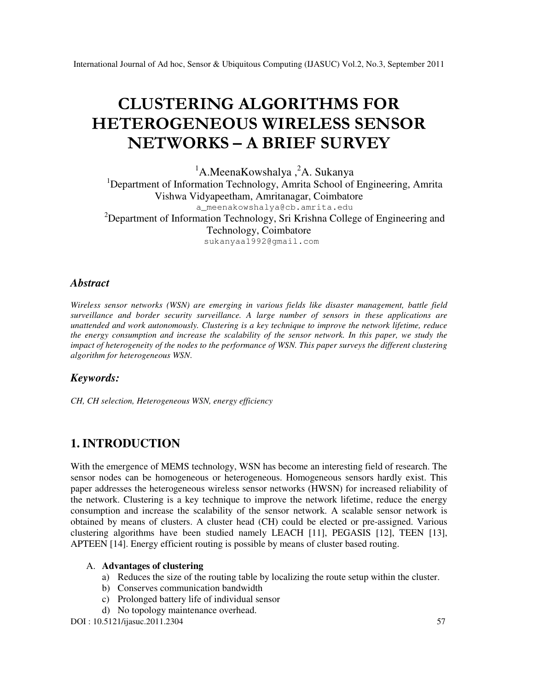# CLUSTERING ALGORITHMS FOR HETEROGENEOUS WIRELESS SENSOR NETWORKS – A BRIEF SURVEY

 ${}^{1}$ A.MeenaKowshalya<sup>2</sup>A. Sukanya <sup>1</sup>Department of Information Technology, Amrita School of Engineering, Amrita Vishwa Vidyapeetham, Amritanagar, Coimbatore a meenakowshalya@cb.amrita.edu <sup>2</sup>Department of Information Technology, Sri Krishna College of Engineering and Technology, Coimbatore sukanyaa1992@gmail.com

## *Abstract*

*Wireless sensor networks (WSN) are emerging in various fields like disaster management, battle field surveillance and border security surveillance. A large number of sensors in these applications are unattended and work autonomously. Clustering is a key technique to improve the network lifetime, reduce the energy consumption and increase the scalability of the sensor network. In this paper, we study the impact of heterogeneity of the nodes to the performance of WSN. This paper surveys the different clustering algorithm for heterogeneous WSN*.

## *Keywords:*

*CH, CH selection, Heterogeneous WSN, energy efficiency* 

## **1. INTRODUCTION**

With the emergence of MEMS technology, WSN has become an interesting field of research. The sensor nodes can be homogeneous or heterogeneous. Homogeneous sensors hardly exist. This paper addresses the heterogeneous wireless sensor networks (HWSN) for increased reliability of the network. Clustering is a key technique to improve the network lifetime, reduce the energy consumption and increase the scalability of the sensor network. A scalable sensor network is obtained by means of clusters. A cluster head (CH) could be elected or pre-assigned. Various clustering algorithms have been studied namely LEACH [11], PEGASIS [12], TEEN [13], APTEEN [14]. Energy efficient routing is possible by means of cluster based routing.

## A. **Advantages of clustering**

- a) Reduces the size of the routing table by localizing the route setup within the cluster.
- b) Conserves communication bandwidth
- c) Prolonged battery life of individual sensor
- d) No topology maintenance overhead.

DOI : 10.5121/ijasuc.2011.2304 57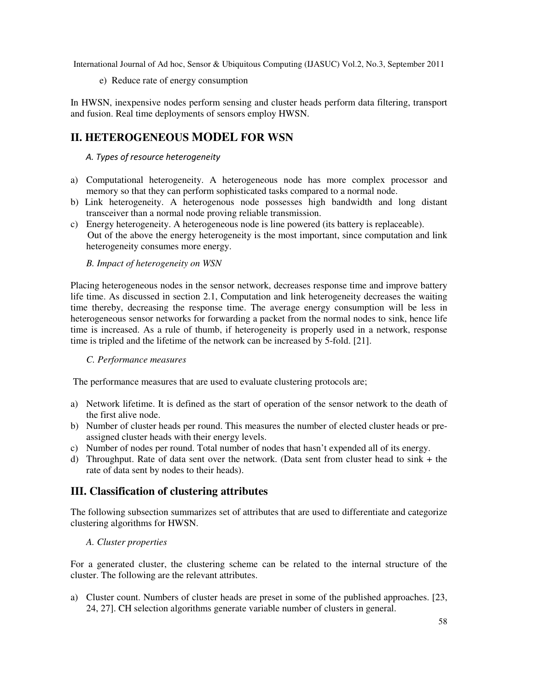e) Reduce rate of energy consumption

In HWSN, inexpensive nodes perform sensing and cluster heads perform data filtering, transport and fusion. Real time deployments of sensors employ HWSN.

## **II. HETEROGENEOUS MODEL FOR WSN**

## A. Types of resource heterogeneity

- a) Computational heterogeneity. A heterogeneous node has more complex processor and memory so that they can perform sophisticated tasks compared to a normal node.
- b) Link heterogeneity. A heterogenous node possesses high bandwidth and long distant transceiver than a normal node proving reliable transmission.
- c) Energy heterogeneity. A heterogeneous node is line powered (its battery is replaceable). Out of the above the energy heterogeneity is the most important, since computation and link heterogeneity consumes more energy.

#### *B. Impact of heterogeneity on WSN*

Placing heterogeneous nodes in the sensor network, decreases response time and improve battery life time. As discussed in section 2.1, Computation and link heterogeneity decreases the waiting time thereby, decreasing the response time. The average energy consumption will be less in heterogeneous sensor networks for forwarding a packet from the normal nodes to sink, hence life time is increased. As a rule of thumb, if heterogeneity is properly used in a network, response time is tripled and the lifetime of the network can be increased by 5-fold. [21].

## *C. Performance measures*

The performance measures that are used to evaluate clustering protocols are;

- a) Network lifetime. It is defined as the start of operation of the sensor network to the death of the first alive node.
- b) Number of cluster heads per round. This measures the number of elected cluster heads or preassigned cluster heads with their energy levels.
- c) Number of nodes per round. Total number of nodes that hasn't expended all of its energy.
- d) Throughput. Rate of data sent over the network. (Data sent from cluster head to sink + the rate of data sent by nodes to their heads).

## **III. Classification of clustering attributes**

The following subsection summarizes set of attributes that are used to differentiate and categorize clustering algorithms for HWSN.

## *A. Cluster properties*

For a generated cluster, the clustering scheme can be related to the internal structure of the cluster. The following are the relevant attributes.

a) Cluster count. Numbers of cluster heads are preset in some of the published approaches. [23, 24, 27]. CH selection algorithms generate variable number of clusters in general.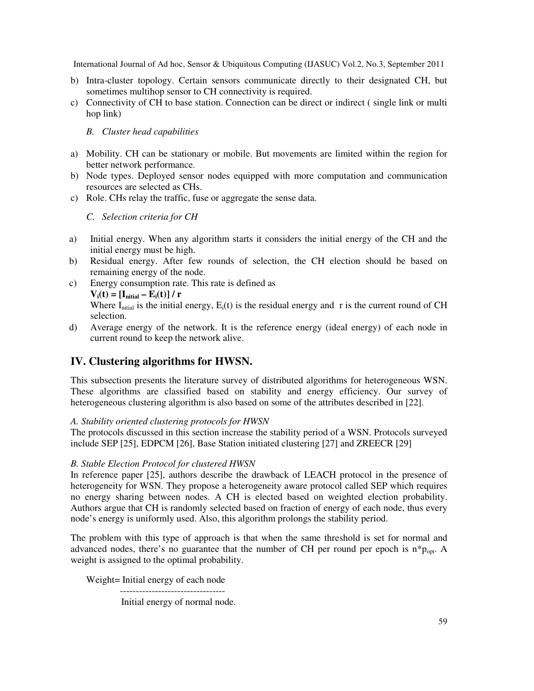- b) Intra-cluster topology. Certain sensors communicate directly to their designated CH, but sometimes multihop sensor to CH connectivity is required.
- c) Connectivity of CH to base station. Connection can be direct or indirect ( single link or multi hop link)

*B. Cluster head capabilities* 

- a) Mobility. CH can be stationary or mobile. But movements are limited within the region for better network performance.
- b) Node types. Deployed sensor nodes equipped with more computation and communication resources are selected as CHs.
- c) Role. CHs relay the traffic, fuse or aggregate the sense data.

*C. Selection criteria for CH* 

- a) Initial energy. When any algorithm starts it considers the initial energy of the CH and the initial energy must be high.
- b) Residual energy. After few rounds of selection, the CH election should be based on remaining energy of the node.
- c) Energy consumption rate. This rate is defined as  $V_i(t) = [I_{\text{initial}} - E_i(t)] / r$ Where  $I<sub>initial</sub>$  is the initial energy,  $E<sub>i</sub>(t)$  is the residual energy and r is the current round of CH selection.
- d) Average energy of the network. It is the reference energy (ideal energy) of each node in current round to keep the network alive.

## **IV. Clustering algorithms for HWSN.**

This subsection presents the literature survey of distributed algorithms for heterogeneous WSN. These algorithms are classified based on stability and energy efficiency. Our survey of heterogeneous clustering algorithm is also based on some of the attributes described in [22].

*A. Stability oriented clustering protocols for HWSN*

The protocols discussed in this section increase the stability period of a WSN. Protocols surveyed include SEP [25], EDPCM [26], Base Station initiated clustering [27] and ZREECR [29]

#### *B. Stable Election Protocol for clustered HWSN*

In reference paper [25], authors describe the drawback of LEACH protocol in the presence of heterogeneity for WSN. They propose a heterogeneity aware protocol called SEP which requires no energy sharing between nodes. A CH is elected based on weighted election probability. Authors argue that CH is randomly selected based on fraction of energy of each node, thus every node's energy is uniformly used. Also, this algorithm prolongs the stability period.

The problem with this type of approach is that when the same threshold is set for normal and advanced nodes, there's no guarantee that the number of CH per round per epoch is  $n*p_{\text{out}}$ . A weight is assigned to the optimal probability.

Weight= Initial energy of each node

Initial energy of normal node.

59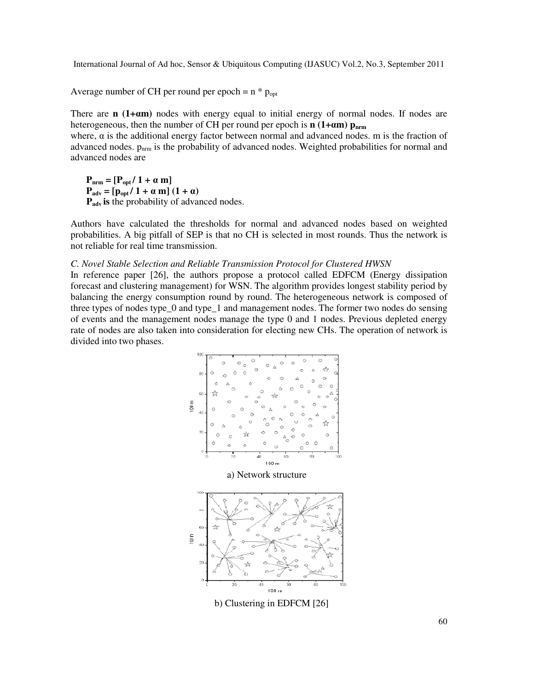Average number of CH per round per epoch =  $n * p_{\text{opt}}$ 

There are **n (1+**α**m)** nodes with energy equal to initial energy of normal nodes. If nodes are heterogeneous, then the number of CH per round per epoch is **n (1+**α**m) pnrm** 

where,  $\alpha$  is the additional energy factor between normal and advanced nodes. m is the fraction of advanced nodes. p<sub>nrm</sub> is the probability of advanced nodes. Weighted probabilities for normal and advanced nodes are

 $\mathbf{P}_{\text{nrm}} = [\mathbf{P}_{\text{opt}} / 1 + \alpha \mathbf{m}]$  $\mathbf{P}_{\text{adv}} = [\mathbf{p}_{\text{opt}} / 1 + \alpha \mathbf{m}] (1 + \alpha)$ **Padv is** the probability of advanced nodes.

Authors have calculated the thresholds for normal and advanced nodes based on weighted probabilities. A big pitfall of SEP is that no CH is selected in most rounds. Thus the network is not reliable for real time transmission.

#### *C. Novel Stable Selection and Reliable Transmission Protocol for Clustered HWSN*

In reference paper [26], the authors propose a protocol called EDFCM (Energy dissipation forecast and clustering management) for WSN. The algorithm provides longest stability period by balancing the energy consumption round by round. The heterogeneous network is composed of three types of nodes type\_0 and type\_1 and management nodes. The former two nodes do sensing of events and the management nodes manage the type 0 and 1 nodes. Previous depleted energy rate of nodes are also taken into consideration for electing new CHs. The operation of network is divided into two phases.



b) Clustering in EDFCM [26]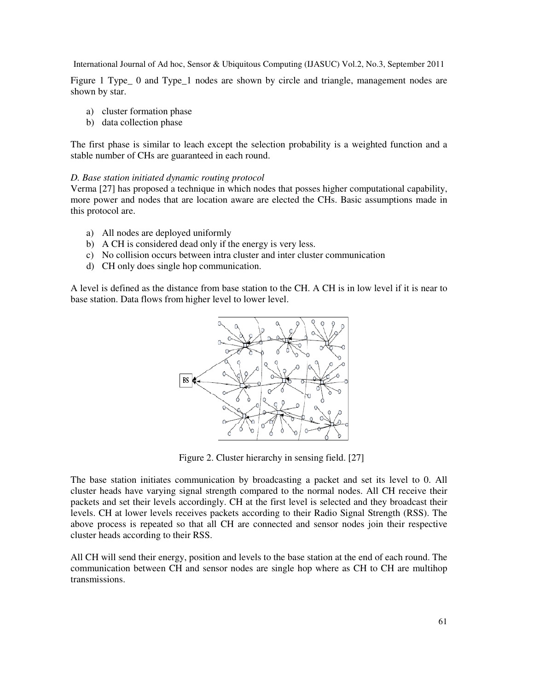Figure 1 Type\_ 0 and Type\_1 nodes are shown by circle and triangle, management nodes are shown by star.

- a) cluster formation phase
- b) data collection phase

The first phase is similar to leach except the selection probability is a weighted function and a stable number of CHs are guaranteed in each round.

#### *D. Base station initiated dynamic routing protocol*

Verma [27] has proposed a technique in which nodes that posses higher computational capability, more power and nodes that are location aware are elected the CHs. Basic assumptions made in this protocol are.

- a) All nodes are deployed uniformly
- b) A CH is considered dead only if the energy is very less.
- c) No collision occurs between intra cluster and inter cluster communication
- d) CH only does single hop communication.

A level is defined as the distance from base station to the CH. A CH is in low level if it is near to base station. Data flows from higher level to lower level.



Figure 2. Cluster hierarchy in sensing field. [27]

The base station initiates communication by broadcasting a packet and set its level to 0. All cluster heads have varying signal strength compared to the normal nodes. All CH receive their packets and set their levels accordingly. CH at the first level is selected and they broadcast their levels. CH at lower levels receives packets according to their Radio Signal Strength (RSS). The above process is repeated so that all CH are connected and sensor nodes join their respective cluster heads according to their RSS.

All CH will send their energy, position and levels to the base station at the end of each round. The communication between CH and sensor nodes are single hop where as CH to CH are multihop transmissions.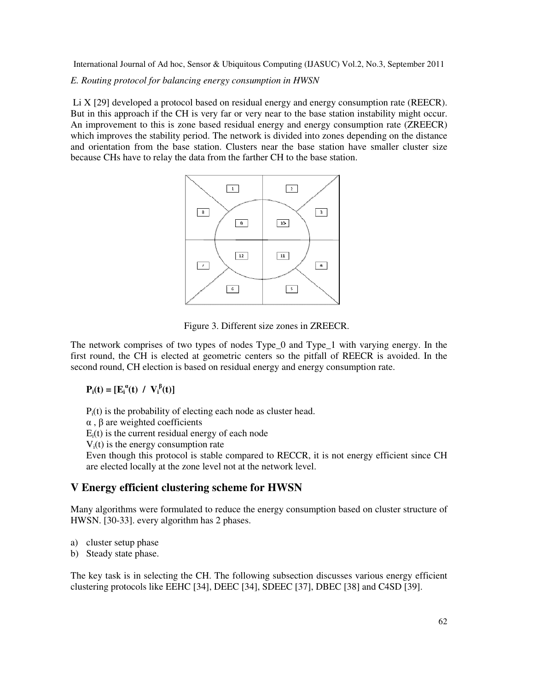*E. Routing protocol for balancing energy consumption in HWSN* 

Li X [29] developed a protocol based on residual energy and energy consumption rate (REECR). But in this approach if the CH is very far or very near to the base station instability might occur. An improvement to this is zone based residual energy and energy consumption rate (ZREECR) which improves the stability period. The network is divided into zones depending on the distance and orientation from the base station. Clusters near the base station have smaller cluster size because CHs have to relay the data from the farther CH to the base station.



Figure 3. Different size zones in ZREECR.

The network comprises of two types of nodes Type\_0 and Type\_1 with varying energy. In the first round, the CH is elected at geometric centers so the pitfall of REECR is avoided. In the second round, CH election is based on residual energy and energy consumption rate.

 $P_i(t) = [E_i^{\alpha}(t) / V_i^{\beta}(t)]$ 

 $P_i(t)$  is the probability of electing each node as cluster head.

α , β are weighted coefficients

 $E_i(t)$  is the current residual energy of each node

 $V_i(t)$  is the energy consumption rate

Even though this protocol is stable compared to RECCR, it is not energy efficient since CH are elected locally at the zone level not at the network level.

## **V Energy efficient clustering scheme for HWSN**

Many algorithms were formulated to reduce the energy consumption based on cluster structure of HWSN. [30-33]. every algorithm has 2 phases.

- a) cluster setup phase
- b) Steady state phase.

The key task is in selecting the CH. The following subsection discusses various energy efficient clustering protocols like EEHC [34], DEEC [34], SDEEC [37], DBEC [38] and C4SD [39].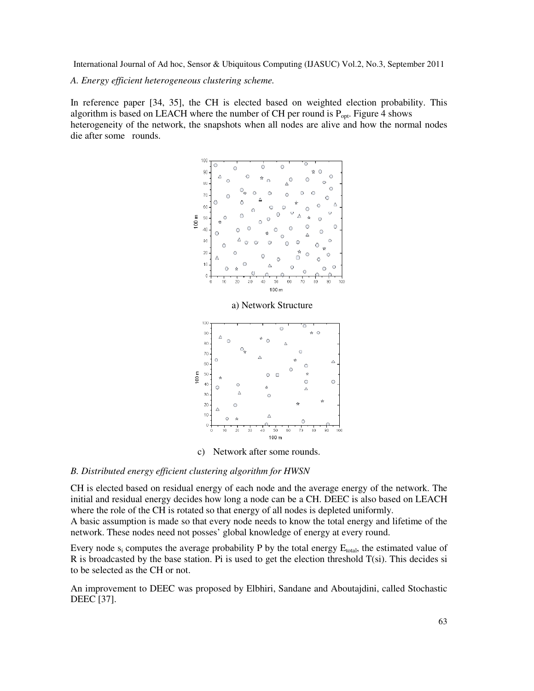*A. Energy efficient heterogeneous clustering scheme.* 

In reference paper [34, 35], the CH is elected based on weighted election probability. This algorithm is based on LEACH where the number of CH per round is  $P_{opt}$ . Figure 4 shows heterogeneity of the network, the snapshots when all nodes are alive and how the normal nodes die after some rounds.



c) Network after some rounds.

#### *B. Distributed energy efficient clustering algorithm for HWSN*

CH is elected based on residual energy of each node and the average energy of the network. The initial and residual energy decides how long a node can be a CH. DEEC is also based on LEACH where the role of the CH is rotated so that energy of all nodes is depleted uniformly.

A basic assumption is made so that every node needs to know the total energy and lifetime of the network. These nodes need not posses' global knowledge of energy at every round.

Every node  $s_i$  computes the average probability P by the total energy  $E_{total}$ , the estimated value of R is broadcasted by the base station. Pi is used to get the election threshold  $T(si)$ . This decides si to be selected as the CH or not.

An improvement to DEEC was proposed by Elbhiri, Sandane and Aboutajdini, called Stochastic DEEC [37].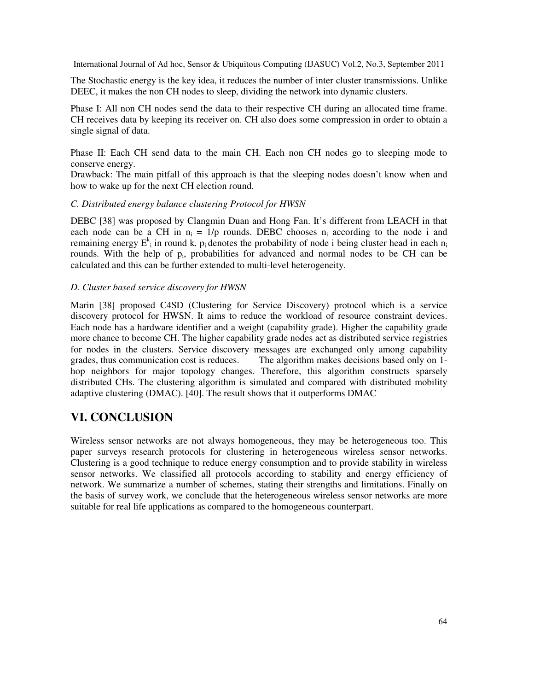The Stochastic energy is the key idea, it reduces the number of inter cluster transmissions. Unlike DEEC, it makes the non CH nodes to sleep, dividing the network into dynamic clusters.

Phase I: All non CH nodes send the data to their respective CH during an allocated time frame. CH receives data by keeping its receiver on. CH also does some compression in order to obtain a single signal of data.

Phase II: Each CH send data to the main CH. Each non CH nodes go to sleeping mode to conserve energy.

Drawback: The main pitfall of this approach is that the sleeping nodes doesn't know when and how to wake up for the next CH election round.

#### *C. Distributed energy balance clustering Protocol for HWSN*

DEBC [38] was proposed by Clangmin Duan and Hong Fan. It's different from LEACH in that each node can be a CH in  $n_i = 1/p$  rounds. DEBC chooses  $n_i$  according to the node i and remaining energy  $E_i^k$  in round k.  $p_i$  denotes the probability of node i being cluster head in each  $n_i$ rounds. With the help of  $p_i$ , probabilities for advanced and normal nodes to be CH can be calculated and this can be further extended to multi-level heterogeneity.

#### *D. Cluster based service discovery for HWSN*

Marin [38] proposed C4SD (Clustering for Service Discovery) protocol which is a service discovery protocol for HWSN. It aims to reduce the workload of resource constraint devices. Each node has a hardware identifier and a weight (capability grade). Higher the capability grade more chance to become CH. The higher capability grade nodes act as distributed service registries for nodes in the clusters. Service discovery messages are exchanged only among capability grades, thus communication cost is reduces. The algorithm makes decisions based only on 1 hop neighbors for major topology changes. Therefore, this algorithm constructs sparsely distributed CHs. The clustering algorithm is simulated and compared with distributed mobility adaptive clustering (DMAC). [40]. The result shows that it outperforms DMAC

## **VI. CONCLUSION**

Wireless sensor networks are not always homogeneous, they may be heterogeneous too. This paper surveys research protocols for clustering in heterogeneous wireless sensor networks. Clustering is a good technique to reduce energy consumption and to provide stability in wireless sensor networks. We classified all protocols according to stability and energy efficiency of network. We summarize a number of schemes, stating their strengths and limitations. Finally on the basis of survey work, we conclude that the heterogeneous wireless sensor networks are more suitable for real life applications as compared to the homogeneous counterpart.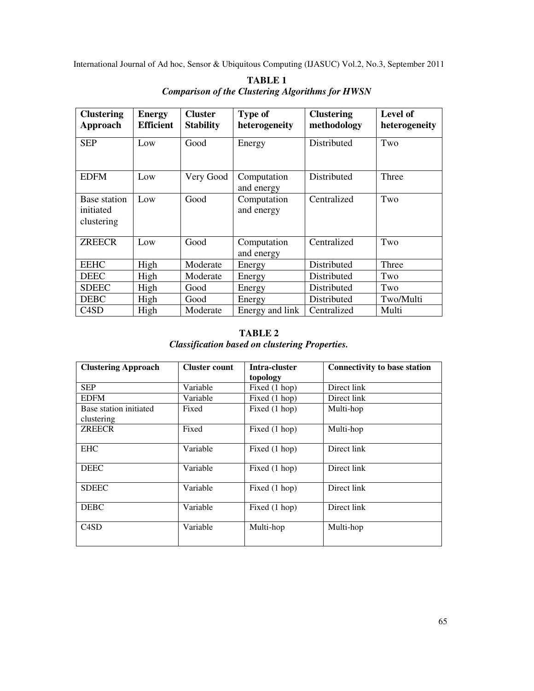| <b>Clustering</b><br>Approach           | <b>Energy</b><br><b>Efficient</b> | <b>Cluster</b><br><b>Stability</b> | <b>Type of</b><br>heterogeneity | <b>Clustering</b><br>methodology | <b>Level of</b><br>heterogeneity |
|-----------------------------------------|-----------------------------------|------------------------------------|---------------------------------|----------------------------------|----------------------------------|
| <b>SEP</b>                              | Low                               | Good                               | Energy                          | Distributed                      | Two                              |
| <b>EDFM</b>                             | Low                               | Very Good                          | Computation<br>and energy       | Distributed                      | Three                            |
| Base station<br>initiated<br>clustering | Low                               | Good                               | Computation<br>and energy       | Centralized                      | Two                              |
| <b>ZREECR</b>                           | Low                               | Good                               | Computation<br>and energy       | Centralized                      | Two                              |
| <b>EEHC</b>                             | High                              | Moderate                           | Energy                          | Distributed                      | Three                            |
| <b>DEEC</b>                             | High                              | Moderate                           | Energy                          | Distributed                      | Two                              |
| <b>SDEEC</b>                            | High                              | Good                               | Energy                          | Distributed                      | Two                              |
| <b>DEBC</b>                             | High                              | Good                               | Energy                          | Distributed                      | Two/Multi                        |
| C <sub>4</sub> S <sub>D</sub>           | High                              | Moderate                           | Energy and link                 | Centralized                      | Multi                            |

**TABLE 1**  *Comparison of the Clustering Algorithms for HWSN* 

## **TABLE 2**  *Classification based on clustering Properties.*

| <b>Clustering Approach</b>    | <b>Cluster count</b> | Intra-cluster | <b>Connectivity to base station</b> |
|-------------------------------|----------------------|---------------|-------------------------------------|
|                               |                      | topology      |                                     |
| <b>SEP</b>                    | Variable             | Fixed (1 hop) | Direct link                         |
| <b>EDFM</b>                   | Variable             | Fixed (1 hop) | Direct link                         |
| Base station initiated        | Fixed                | Fixed (1 hop) | Multi-hop                           |
| clustering                    |                      |               |                                     |
| <b>ZREECR</b>                 | Fixed                | Fixed (1 hop) | Multi-hop                           |
|                               |                      |               |                                     |
| <b>EHC</b>                    | Variable             | Fixed (1 hop) | Direct link                         |
|                               |                      |               |                                     |
| <b>DEEC</b>                   | Variable             | Fixed (1 hop) | Direct link                         |
|                               |                      |               |                                     |
| <b>SDEEC</b>                  | Variable             | Fixed (1 hop) | Direct link                         |
|                               |                      |               |                                     |
| <b>DEBC</b>                   | Variable             | Fixed (1 hop) | Direct link                         |
|                               |                      |               |                                     |
| C <sub>4</sub> S <sub>D</sub> | Variable             | Multi-hop     | Multi-hop                           |
|                               |                      |               |                                     |
|                               |                      |               |                                     |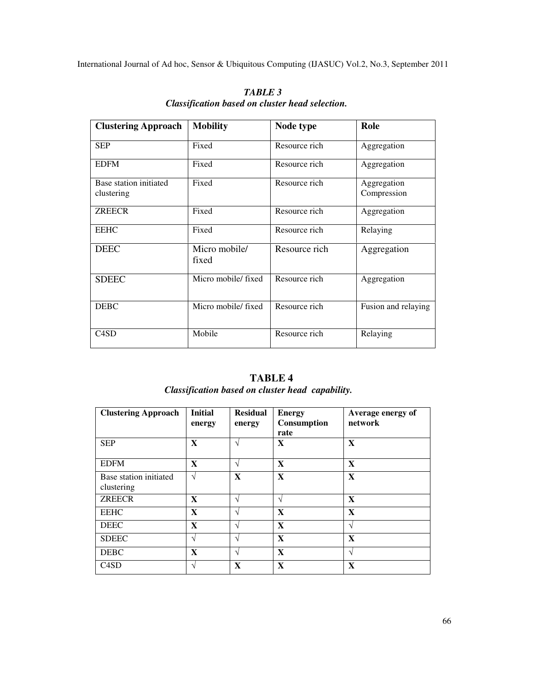| <b>Clustering Approach</b>           | <b>Mobility</b>        | Node type     | Role                       |  |
|--------------------------------------|------------------------|---------------|----------------------------|--|
| <b>SEP</b>                           | Fixed                  | Resource rich | Aggregation                |  |
| <b>EDFM</b>                          | Fixed                  | Resource rich | Aggregation                |  |
| Base station initiated<br>clustering | Fixed                  | Resource rich | Aggregation<br>Compression |  |
| <b>ZREECR</b>                        | Fixed                  | Resource rich | Aggregation                |  |
| <b>EEHC</b>                          | Fixed                  | Resource rich | Relaying                   |  |
| <b>DEEC</b>                          | Micro mobile/<br>fixed | Resource rich | Aggregation                |  |
| <b>SDEEC</b>                         | Micro mobile/ fixed    | Resource rich | Aggregation                |  |
| <b>DEBC</b>                          | Micro mobile/ fixed    | Resource rich | Fusion and relaying        |  |
| C <sub>4</sub> S <sub>D</sub>        | Mobile                 | Resource rich | Relaying                   |  |

## *TABLE 3 Classification based on cluster head selection.*

## **TABLE 4**

## *Classification based on cluster head capability.*

| <b>Clustering Approach</b>           | <b>Initial</b><br>energy | <b>Residual</b><br>energy | <b>Energy</b><br><b>Consumption</b><br>rate | Average energy of<br>network |
|--------------------------------------|--------------------------|---------------------------|---------------------------------------------|------------------------------|
| <b>SEP</b>                           | X                        | ٦                         | X                                           | $\mathbf{X}$                 |
| <b>EDFM</b>                          | X                        | $\mathcal{L}$             | $\mathbf{X}$                                | X                            |
| Base station initiated<br>clustering | V                        | X                         | X                                           | X                            |
| <b>ZREECR</b>                        | X                        | $\mathcal{L}$             | V                                           | $\mathbf{X}$                 |
| <b>EEHC</b>                          | X                        | $\mathcal{L}$             | X                                           | X                            |
| <b>DEEC</b>                          | X                        | $\Delta$                  | $\mathbf{X}$                                | ٦                            |
| <b>SDEEC</b>                         | N                        | $\mathbf{\hat{}}$         | X                                           | X                            |
| <b>DEBC</b>                          | X                        | $\mathcal{N}$             | X                                           | N                            |
| C <sub>4</sub> S <sub>D</sub>        | N                        | X                         | X                                           | X                            |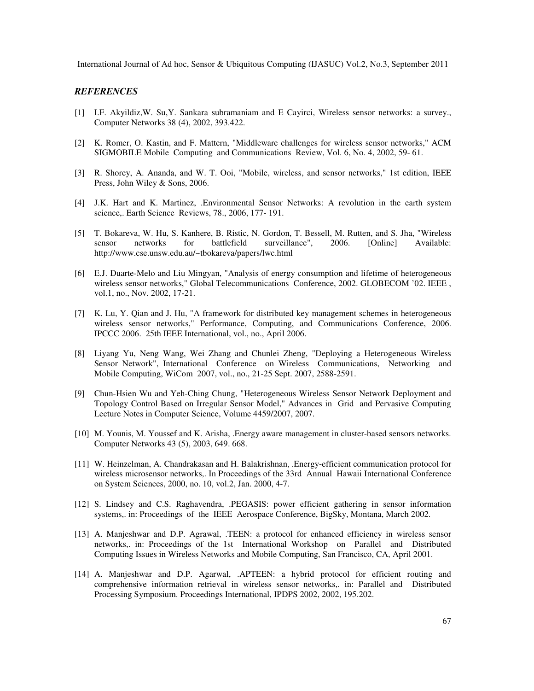#### *REFERENCES*

- [1] I.F. Akyildiz,W. Su,Y. Sankara subramaniam and E Cayirci, Wireless sensor networks: a survey., Computer Networks 38 (4), 2002, 393.422.
- [2] K. Romer, O. Kastin, and F. Mattern, "Middleware challenges for wireless sensor networks," ACM SIGMOBILE Mobile Computing and Communications Review, Vol. 6, No. 4, 2002, 59- 61.
- [3] R. Shorey, A. Ananda, and W. T. Ooi, "Mobile, wireless, and sensor networks," 1st edition, IEEE Press, John Wiley & Sons, 2006.
- [4] J.K. Hart and K. Martinez, .Environmental Sensor Networks: A revolution in the earth system science,. Earth Science Reviews, 78., 2006, 177- 191.
- [5] T. Bokareva, W. Hu, S. Kanhere, B. Ristic, N. Gordon, T. Bessell, M. Rutten, and S. Jha, "Wireless sensor networks for battlefield surveillance", 2006. [Online] Available: http://www.cse.unsw.edu.au/~tbokareva/papers/lwc.html
- [6] E.J. Duarte-Melo and Liu Mingyan, "Analysis of energy consumption and lifetime of heterogeneous wireless sensor networks," Global Telecommunications Conference, 2002. GLOBECOM '02. IEEE , vol.1, no., Nov. 2002, 17-21.
- [7] K. Lu, Y. Qian and J. Hu, "A framework for distributed key management schemes in heterogeneous wireless sensor networks," Performance, Computing, and Communications Conference, 2006. IPCCC 2006. 25th IEEE International, vol., no., April 2006.
- [8] Liyang Yu, Neng Wang, Wei Zhang and Chunlei Zheng, "Deploying a Heterogeneous Wireless Sensor Network", International Conference on Wireless Communications, Networking and Mobile Computing, WiCom 2007, vol., no., 21-25 Sept. 2007, 2588-2591.
- [9] Chun-Hsien Wu and Yeh-Ching Chung, "Heterogeneous Wireless Sensor Network Deployment and Topology Control Based on Irregular Sensor Model," Advances in Grid and Pervasive Computing Lecture Notes in Computer Science, Volume 4459/2007, 2007.
- [10] M. Younis, M. Youssef and K. Arisha, .Energy aware management in cluster-based sensors networks. Computer Networks 43 (5), 2003, 649. 668.
- [11] W. Heinzelman, A. Chandrakasan and H. Balakrishnan, .Energy-efficient communication protocol for wireless microsensor networks,. In Proceedings of the 33rd Annual Hawaii International Conference on System Sciences, 2000, no. 10, vol.2, Jan. 2000, 4-7.
- [12] S. Lindsey and C.S. Raghavendra, .PEGASIS: power efficient gathering in sensor information systems,. in: Proceedings of the IEEE Aerospace Conference, BigSky, Montana, March 2002.
- [13] A. Manjeshwar and D.P. Agrawal, .TEEN: a protocol for enhanced efficiency in wireless sensor networks,. in: Proceedings of the 1st International Workshop on Parallel and Distributed Computing Issues in Wireless Networks and Mobile Computing, San Francisco, CA, April 2001.
- [14] A. Manjeshwar and D.P. Agarwal, .APTEEN: a hybrid protocol for efficient routing and comprehensive information retrieval in wireless sensor networks,. in: Parallel and Distributed Processing Symposium. Proceedings International, IPDPS 2002, 2002, 195.202.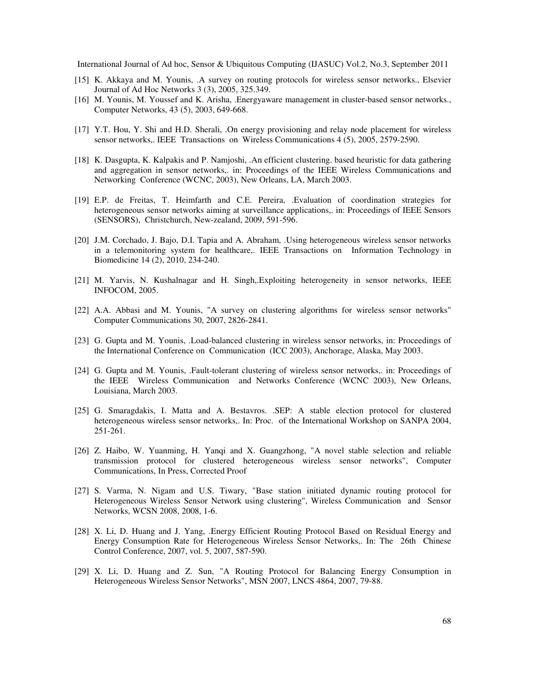- [15] K. Akkaya and M. Younis, .A survey on routing protocols for wireless sensor networks., Elsevier Journal of Ad Hoc Networks 3 (3), 2005, 325.349.
- [16] M. Younis, M. Youssef and K. Arisha, .Energyaware management in cluster-based sensor networks., Computer Networks, 43 (5), 2003, 649-668.
- [17] Y.T. Hou, Y. Shi and H.D. Sherali, .On energy provisioning and relay node placement for wireless sensor networks,. IEEE Transactions on Wireless Communications 4 (5), 2005, 2579-2590.
- [18] K. Dasgupta, K. Kalpakis and P. Namjoshi, .An efficient clustering. based heuristic for data gathering and aggregation in sensor networks,. in: Proceedings of the IEEE Wireless Communications and Networking Conference (WCNC, 2003), New Orleans, LA, March 2003.
- [19] E.P. de Freitas, T. Heimfarth and C.E. Pereira, .Evaluation of coordination strategies for heterogeneous sensor networks aiming at surveillance applications,. in: Proceedings of IEEE Sensors (SENSORS), Christchurch, New-zealand, 2009, 591-596.
- [20] J.M. Corchado, J. Bajo, D.I. Tapia and A. Abraham, .Using heterogeneous wireless sensor networks in a telemonitoring system for healthcare,. IEEE Transactions on Information Technology in Biomedicine 14 (2), 2010, 234-240.
- [21] M. Yarvis, N. Kushalnagar and H. Singh,.Exploiting heterogeneity in sensor networks, IEEE INFOCOM, 2005.
- [22] A.A. Abbasi and M. Younis, "A survey on clustering algorithms for wireless sensor networks" Computer Communications 30, 2007, 2826-2841.
- [23] G. Gupta and M. Younis, .Load-balanced clustering in wireless sensor networks, in: Proceedings of the International Conference on Communication (ICC 2003), Anchorage, Alaska, May 2003.
- [24] G. Gupta and M. Younis, .Fault-tolerant clustering of wireless sensor networks,. in: Proceedings of the IEEE Wireless Communication and Networks Conference (WCNC 2003), New Orleans, Louisiana, March 2003.
- [25] G. Smaragdakis, I. Matta and A. Bestavros. .SEP: A stable election protocol for clustered heterogeneous wireless sensor networks,. In: Proc. of the International Workshop on SANPA 2004, 251-261.
- [26] Z. Haibo, W. Yuanming, H. Yanqi and X. Guangzhong, "A novel stable selection and reliable transmission protocol for clustered heterogeneous wireless sensor networks", Computer Communications, In Press, Corrected Proof
- [27] S. Varma, N. Nigam and U.S. Tiwary, "Base station initiated dynamic routing protocol for Heterogeneous Wireless Sensor Network using clustering", Wireless Communication and Sensor Networks, WCSN 2008, 2008, 1-6.
- [28] X. Li, D. Huang and J. Yang, .Energy Efficient Routing Protocol Based on Residual Energy and Energy Consumption Rate for Heterogeneous Wireless Sensor Networks,. In: The 26th Chinese Control Conference, 2007, vol. 5, 2007, 587-590.
- [29] X. Li, D. Huang and Z. Sun, "A Routing Protocol for Balancing Energy Consumption in Heterogeneous Wireless Sensor Networks", MSN 2007, LNCS 4864, 2007, 79-88.